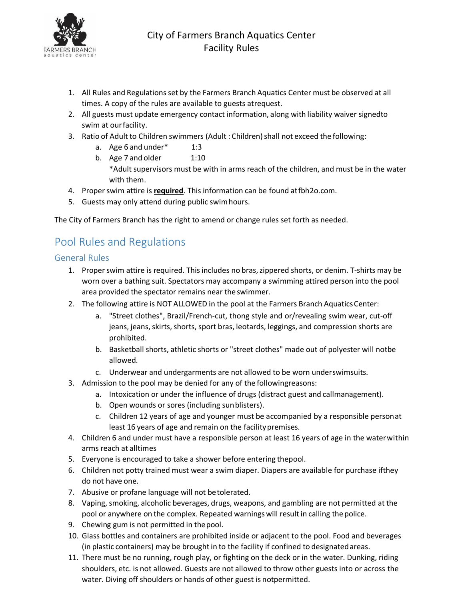

- 1. All Rules and Regulations set by the Farmers Branch Aquatics Center must be observed at all times. A copy of the rules are available to guests atrequest.
- 2. All guests must update emergency contact information, along with liability waiver signedto swim at ourfacility.
- 3. Ratio of Adult to Children swimmers (Adult : Children) shall not exceed the following:
	- a. Age 6 and under $*$  1:3
	- b. Age 7 and older 1:10 \*Adult supervisors must be with in arms reach of the children, and must be in the water with them.
- 4. Proper swim attire is **required**. This information can be found atfbh2o.com.
- 5. Guests may only attend during public swimhours.

The City of Farmers Branch has the right to amend or change rules set forth as needed.

# Pool Rules and Regulations

### General Rules

- 1. Properswim attire is required. Thisincludes no bras,zippered shorts, or denim. T-shirts may be worn over a bathing suit. Spectators may accompany a swimming attired person into the pool area provided the spectator remains near theswimmer.
- 2. The following attire is NOT ALLOWED in the pool at the Farmers Branch AquaticsCenter:
	- a. "Street clothes", Brazil/French-cut, thong style and or/revealing swim wear, cut-off jeans, jeans, skirts, shorts, sport bras, leotards, leggings, and compression shorts are prohibited.
	- b. Basketball shorts, athletic shorts or "street clothes" made out of polyester will notbe allowed.
	- c. Underwear and undergarments are not allowed to be worn underswimsuits.
- 3. Admission to the pool may be denied for any of the followingreasons:
	- a. Intoxication or under the influence of drugs (distract guest and callmanagement).
	- b. Open wounds or sores (including sunblisters).
	- c. Children 12 years of age and younger must be accompanied by a responsible personat least 16 years of age and remain on the facility premises.
- 4. Children 6 and under must have a responsible person at least 16 years of age in the waterwithin arms reach at alltimes
- 5. Everyone is encouraged to take a shower before entering thepool.
- 6. Children not potty trained must wear a swim diaper. Diapers are available for purchase ifthey do not have one.
- 7. Abusive or profane language will not betolerated.
- 8. Vaping, smoking, alcoholic beverages, drugs, weapons, and gambling are not permitted at the pool or anywhere on the complex. Repeated warnings will resultin calling the police.
- 9. Chewing gum is not permitted in thepool.
- 10. Glass bottles and containers are prohibited inside or adjacent to the pool. Food and beverages (in plastic containers) may be brought in to the facility if confined to designated areas.
- 11. There must be no running, rough play, or fighting on the deck or in the water. Dunking, riding shoulders, etc. is not allowed. Guests are not allowed to throw other guests into or across the water. Diving off shoulders or hands of other guest is notpermitted.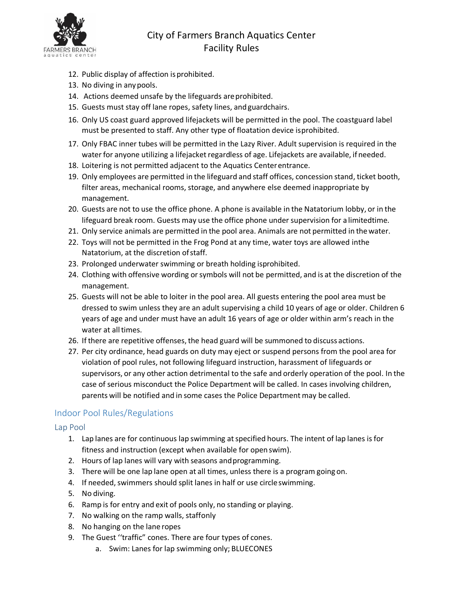

## City of Farmers Branch Aquatics Center Facility Rules

- 12. Public display of affection is prohibited.
- 13. No diving in anypools.
- 14. Actions deemed unsafe by the lifeguards areprohibited.
- 15. Guests must stay off lane ropes, safety lines, andguardchairs.
- 16. Only US coast guard approved lifejackets will be permitted in the pool. The coastguard label must be presented to staff. Any other type of floatation device isprohibited.
- 17. Only FBAC inner tubes will be permitted in the Lazy River. Adult supervision is required in the water for anyone utilizing a lifejacket regardless of age. Lifejackets are available, if needed.
- 18. Loitering is not permitted adjacent to the Aquatics Centerentrance.
- 19. Only employees are permitted in the lifeguard and staff offices, concession stand, ticket booth, filter areas, mechanical rooms, storage, and anywhere else deemed inappropriate by management.
- 20. Guests are not to use the office phone. A phone is available in the Natatorium lobby, or in the lifeguard break room. Guests may use the office phone under supervision for a limitedtime.
- 21. Only service animals are permitted in the pool area. Animals are not permitted in thewater.
- 22. Toys will not be permitted in the Frog Pond at any time, water toys are allowed inthe Natatorium, at the discretion of staff.
- 23. Prolonged underwater swimming or breath holding isprohibited.
- 24. Clothing with offensive wording or symbols will not be permitted, and is at the discretion of the management.
- 25. Guests will not be able to loiter in the pool area. All guests entering the pool area must be dressed to swim unless they are an adult supervising a child 10 years of age or older. Children 6 years of age and under must have an adult 16 years of age or older within arm's reach in the water at all times.
- 26. If there are repetitive offenses, the head guard will be summoned to discuss actions.
- 27. Per city ordinance, head guards on duty may eject or suspend persons from the pool area for violation of pool rules, not following lifeguard instruction, harassment of lifeguards or supervisors, or any other action detrimental to the safe and orderly operation of the pool. In the case of serious misconduct the Police Department will be called. In cases involving children, parents will be notified and in some cases the Police Department may be called.

## Indoor Pool Rules/Regulations

### Lap Pool

- 1. Lap lanes are for continuous lap swimming atspecified hours. The intent of lap lanes is for fitness and instruction (except when available for openswim).
- 2. Hours of lap lanes will vary with seasons andprogramming.
- 3. There will be one lap lane open at all times, unless there is a program going on.
- 4. If needed, swimmers should split lanes in half or use circle swimming.
- 5. No diving.
- 6. Ramp is for entry and exit of pools only, no standing or playing.
- 7. No walking on the ramp walls, staffonly
- 8. No hanging on the lane ropes
- 9. The Guest ''traffic" cones. There are four types of cones.
	- a. Swim: Lanes for lap swimming only; BLUECONES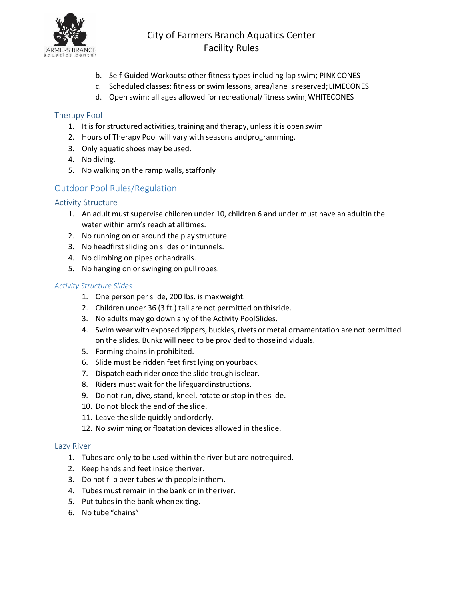

## City of Farmers Branch Aquatics Center Facility Rules

- b. Self-Guided Workouts: other fitness types including lap swim; PINK CONES
- c. Scheduled classes: fitness or swim lessons, area/lane isreserved; LIMECONES
- d. Open swim: all ages allowed for recreational/fitness swim;WHITECONES

### Therapy Pool

- 1. It is for structured activities, training and therapy, unless it is open swim
- 2. Hours of Therapy Pool will vary with seasons andprogramming.
- 3. Only aquatic shoes may beused.
- 4. No diving.
- 5. No walking on the ramp walls, staffonly

## Outdoor Pool Rules/Regulation

## Activity Structure

- 1. An adult must supervise children under 10, children 6 and under must have an adultin the water within arm's reach at alltimes.
- 2. No running on or around the play structure.
- 3. No headfirst sliding on slides or intunnels.
- 4. No climbing on pipes orhandrails.
- 5. No hanging on or swinging on pullropes.

#### *Activity Structure Slides*

- 1. One person per slide, 200 lbs. is maxweight.
- 2. Children under 36 (3 ft.) tall are not permitted on thisride.
- 3. No adults may go down any of the Activity PoolSlides.
- 4. Swim wear with exposed zippers, buckles,rivets or metal ornamentation are not permitted on the slides. Bunkz will need to be provided to thoseindividuals.
- 5. Forming chains in prohibited.
- 6. Slide must be ridden feet first lying on yourback.
- 7. Dispatch each rider once the slide trough is clear.
- 8. Riders must wait for the lifeguardinstructions.
- 9. Do not run, dive, stand, kneel, rotate or stop in theslide.
- 10. Do not block the end of the slide.
- 11. Leave the slide quickly andorderly.
- 12. No swimming or floatation devices allowed in theslide.

### Lazy River

- 1. Tubes are only to be used within the river but are notrequired.
- 2. Keep hands and feet inside theriver.
- 3. Do not flip over tubes with people inthem.
- 4. Tubes must remain in the bank or in theriver.
- 5. Put tubes in the bank whenexiting.
- 6. No tube "chains"